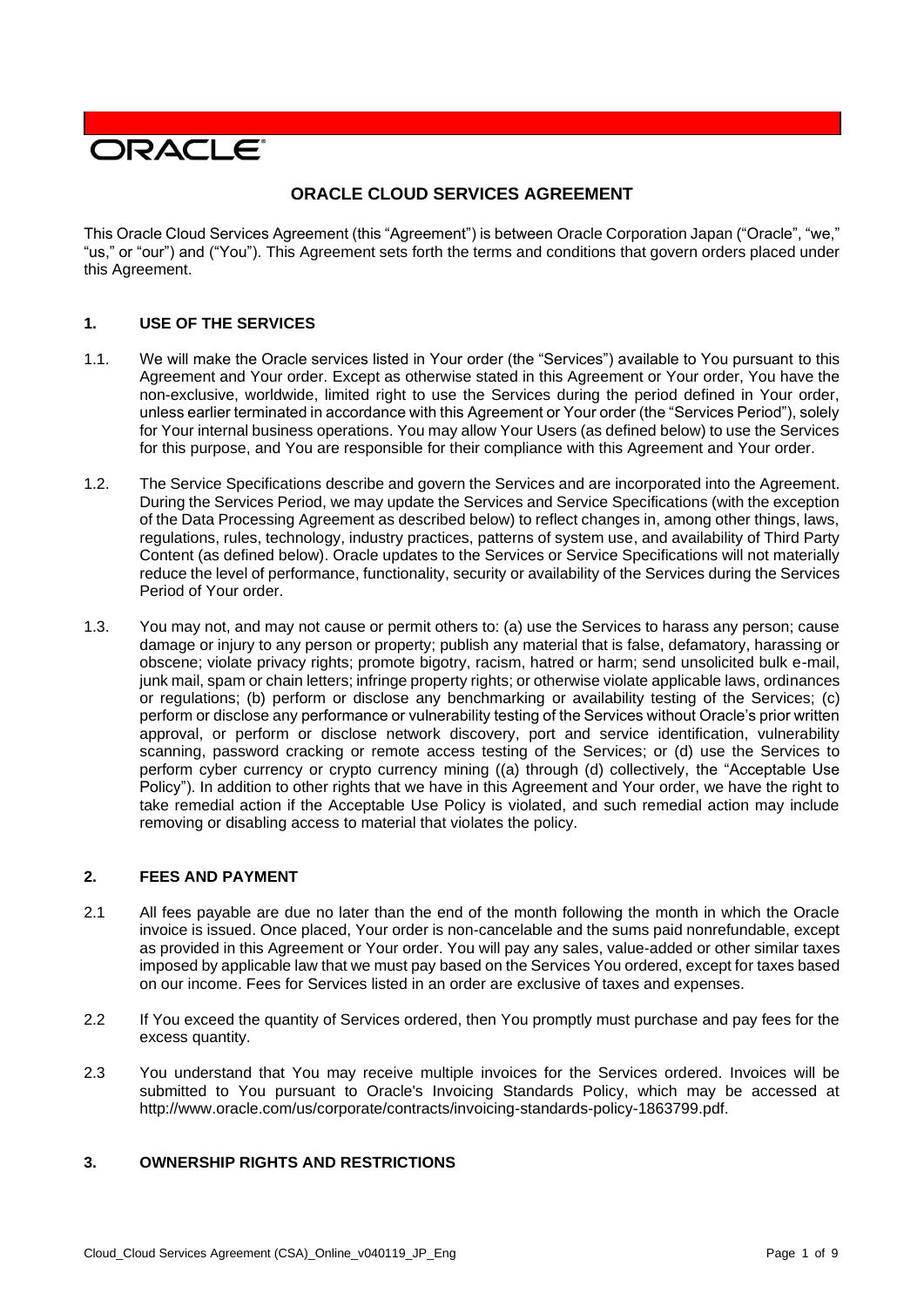# ORACLE<sup>®</sup>

## **ORACLE CLOUD SERVICES AGREEMENT**

This Oracle Cloud Services Agreement (this "Agreement") is between Oracle Corporation Japan ("Oracle", "we," "us," or "our") and ("You"). This Agreement sets forth the terms and conditions that govern orders placed under this Agreement.

## **1. USE OF THE SERVICES**

- 1.1. We will make the Oracle services listed in Your order (the "Services") available to You pursuant to this Agreement and Your order. Except as otherwise stated in this Agreement or Your order, You have the non-exclusive, worldwide, limited right to use the Services during the period defined in Your order, unless earlier terminated in accordance with this Agreement or Your order (the "Services Period"), solely for Your internal business operations. You may allow Your Users (as defined below) to use the Services for this purpose, and You are responsible for their compliance with this Agreement and Your order.
- 1.2. The Service Specifications describe and govern the Services and are incorporated into the Agreement. During the Services Period, we may update the Services and Service Specifications (with the exception of the Data Processing Agreement as described below) to reflect changes in, among other things, laws, regulations, rules, technology, industry practices, patterns of system use, and availability of Third Party Content (as defined below). Oracle updates to the Services or Service Specifications will not materially reduce the level of performance, functionality, security or availability of the Services during the Services Period of Your order.
- 1.3. You may not, and may not cause or permit others to: (a) use the Services to harass any person; cause damage or injury to any person or property; publish any material that is false, defamatory, harassing or obscene; violate privacy rights; promote bigotry, racism, hatred or harm; send unsolicited bulk e-mail, junk mail, spam or chain letters; infringe property rights; or otherwise violate applicable laws, ordinances or regulations; (b) perform or disclose any benchmarking or availability testing of the Services; (c) perform or disclose any performance or vulnerability testing of the Services without Oracle's prior written approval, or perform or disclose network discovery, port and service identification, vulnerability scanning, password cracking or remote access testing of the Services; or (d) use the Services to perform cyber currency or crypto currency mining ((a) through (d) collectively, the "Acceptable Use Policy"). In addition to other rights that we have in this Agreement and Your order, we have the right to take remedial action if the Acceptable Use Policy is violated, and such remedial action may include removing or disabling access to material that violates the policy.

## **2. FEES AND PAYMENT**

- 2.1 All fees payable are due no later than the end of the month following the month in which the Oracle invoice is issued. Once placed, Your order is non-cancelable and the sums paid nonrefundable, except as provided in this Agreement or Your order. You will pay any sales, value-added or other similar taxes imposed by applicable law that we must pay based on the Services You ordered, except for taxes based on our income. Fees for Services listed in an order are exclusive of taxes and expenses.
- 2.2 If You exceed the quantity of Services ordered, then You promptly must purchase and pay fees for the excess quantity.
- 2.3 You understand that You may receive multiple invoices for the Services ordered. Invoices will be submitted to You pursuant to Oracle's Invoicing Standards Policy, which may be accessed at [http://www.oracle.com/us/corporate/contracts/invoicing-standards-policy-1863799.pdf.](http://www.oracle.com/us/corporate/contracts/invoicing-standards-policy-1863799.pdf)

## **3. OWNERSHIP RIGHTS AND RESTRICTIONS**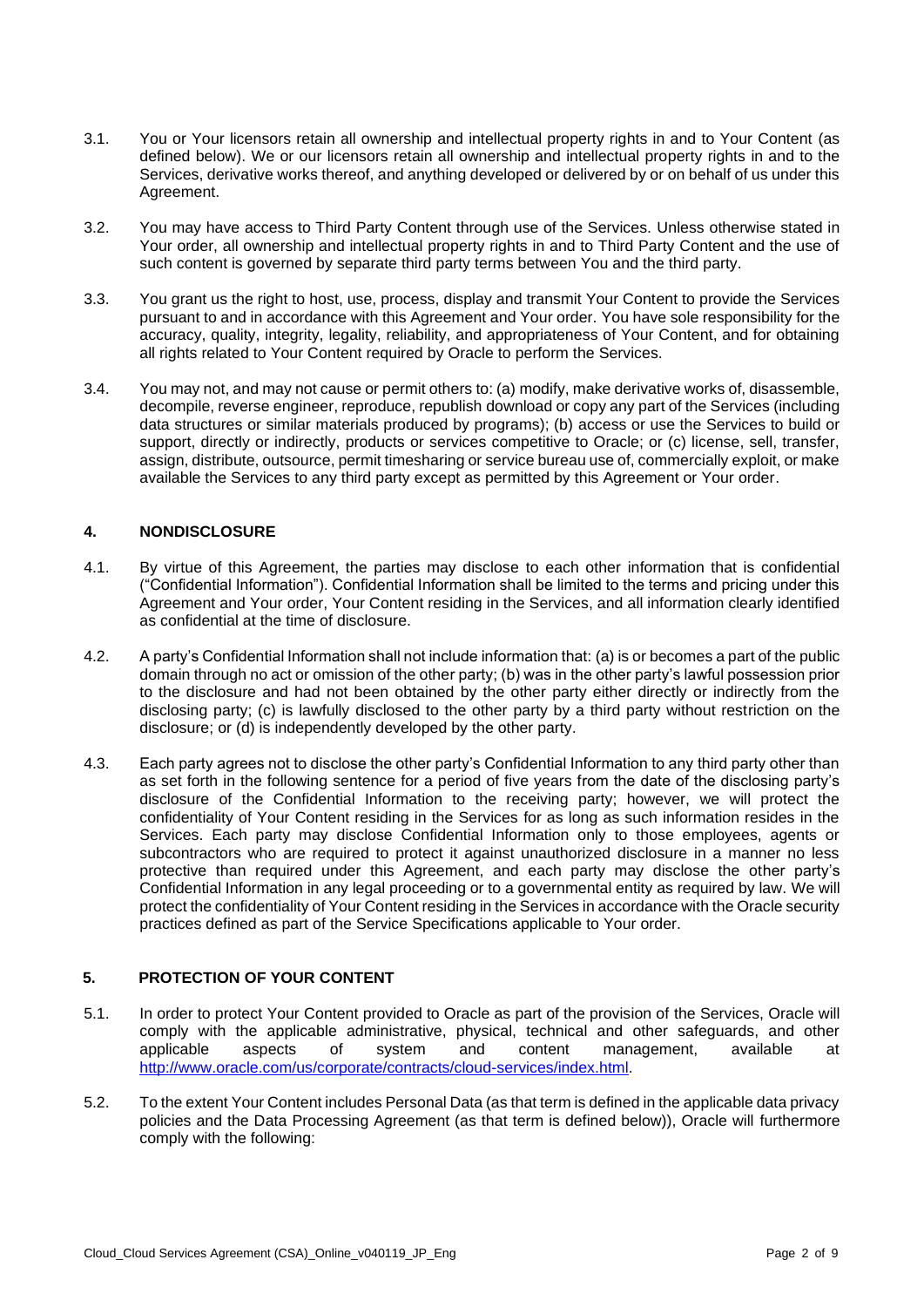- 3.1. You or Your licensors retain all ownership and intellectual property rights in and to Your Content (as defined below). We or our licensors retain all ownership and intellectual property rights in and to the Services, derivative works thereof, and anything developed or delivered by or on behalf of us under this Agreement.
- 3.2. You may have access to Third Party Content through use of the Services. Unless otherwise stated in Your order, all ownership and intellectual property rights in and to Third Party Content and the use of such content is governed by separate third party terms between You and the third party.
- 3.3. You grant us the right to host, use, process, display and transmit Your Content to provide the Services pursuant to and in accordance with this Agreement and Your order. You have sole responsibility for the accuracy, quality, integrity, legality, reliability, and appropriateness of Your Content, and for obtaining all rights related to Your Content required by Oracle to perform the Services.
- 3.4. You may not, and may not cause or permit others to: (a) modify, make derivative works of, disassemble, decompile, reverse engineer, reproduce, republish download or copy any part of the Services (including data structures or similar materials produced by programs); (b) access or use the Services to build or support, directly or indirectly, products or services competitive to Oracle; or (c) license, sell, transfer, assign, distribute, outsource, permit timesharing or service bureau use of, commercially exploit, or make available the Services to any third party except as permitted by this Agreement or Your order.

## **4. NONDISCLOSURE**

- 4.1. By virtue of this Agreement, the parties may disclose to each other information that is confidential ("Confidential Information"). Confidential Information shall be limited to the terms and pricing under this Agreement and Your order, Your Content residing in the Services, and all information clearly identified as confidential at the time of disclosure.
- 4.2. A party's Confidential Information shall not include information that: (a) is or becomes a part of the public domain through no act or omission of the other party; (b) was in the other party's lawful possession prior to the disclosure and had not been obtained by the other party either directly or indirectly from the disclosing party; (c) is lawfully disclosed to the other party by a third party without restriction on the disclosure; or (d) is independently developed by the other party.
- 4.3. Each party agrees not to disclose the other party's Confidential Information to any third party other than as set forth in the following sentence for a period of five years from the date of the disclosing party's disclosure of the Confidential Information to the receiving party; however, we will protect the confidentiality of Your Content residing in the Services for as long as such information resides in the Services. Each party may disclose Confidential Information only to those employees, agents or subcontractors who are required to protect it against unauthorized disclosure in a manner no less protective than required under this Agreement, and each party may disclose the other party's Confidential Information in any legal proceeding or to a governmental entity as required by law. We will protect the confidentiality of Your Content residing in the Services in accordance with the Oracle security practices defined as part of the Service Specifications applicable to Your order.

## **5. PROTECTION OF YOUR CONTENT**

- 5.1. In order to protect Your Content provided to Oracle as part of the provision of the Services, Oracle will comply with the applicable administrative, physical, technical and other safeguards, and other applicable aspects of system and content management. available at applicable aspects of system and content management, available at [http://www.oracle.com/us/corporate/contracts/cloud-services/index.html.](http://www.oracle.com/us/corporate/contracts/cloud-services/index.html)
- 5.2. To the extent Your Content includes Personal Data (as that term is defined in the applicable data privacy policies and the Data Processing Agreement (as that term is defined below)), Oracle will furthermore comply with the following: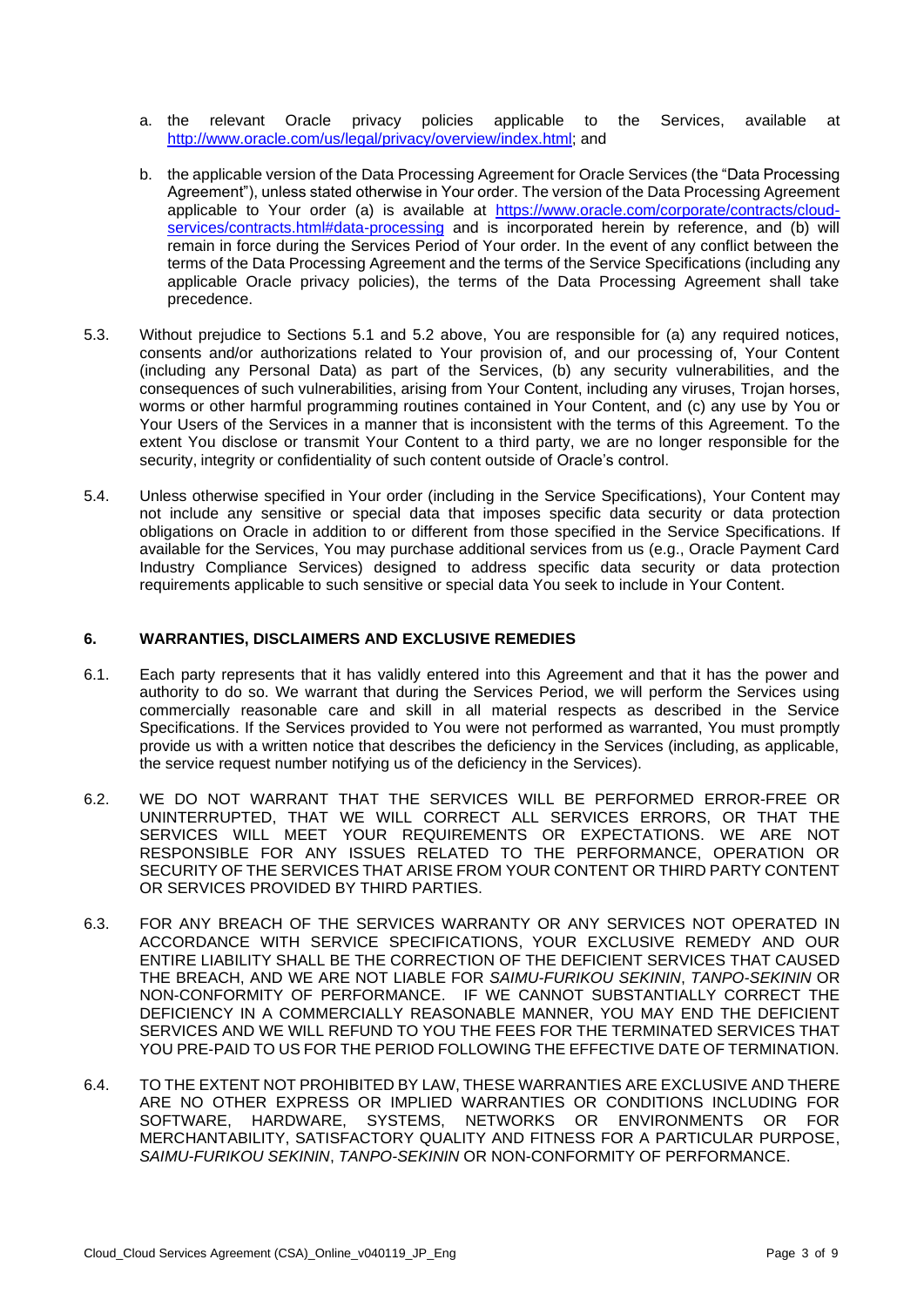- a. the relevant Oracle privacy policies applicable to the Services, available at [http://www.oracle.com/us/legal/privacy/overview/index.html;](http://www.oracle.com/us/legal/privacy/overview/index.html) and
- b. the applicable version of the Data Processing Agreement for Oracle Services (the "Data Processing Agreement"), unless stated otherwise in Your order. The version of the Data Processing Agreement applicable to Your order (a) is available at [https://www.oracle.com/corporate/contracts/cloud](https://www.oracle.com/corporate/contracts/cloud-services/contracts.html#data-processing)[services/contracts.html#data-processing](https://www.oracle.com/corporate/contracts/cloud-services/contracts.html#data-processing) and is incorporated herein by reference, and (b) will remain in force during the Services Period of Your order. In the event of any conflict between the terms of the Data Processing Agreement and the terms of the Service Specifications (including any applicable Oracle privacy policies), the terms of the Data Processing Agreement shall take precedence.
- 5.3. Without prejudice to Sections 5.1 and 5.2 above, You are responsible for (a) any required notices, consents and/or authorizations related to Your provision of, and our processing of, Your Content (including any Personal Data) as part of the Services, (b) any security vulnerabilities, and the consequences of such vulnerabilities, arising from Your Content, including any viruses, Trojan horses, worms or other harmful programming routines contained in Your Content, and (c) any use by You or Your Users of the Services in a manner that is inconsistent with the terms of this Agreement. To the extent You disclose or transmit Your Content to a third party, we are no longer responsible for the security, integrity or confidentiality of such content outside of Oracle's control.
- 5.4. Unless otherwise specified in Your order (including in the Service Specifications), Your Content may not include any sensitive or special data that imposes specific data security or data protection obligations on Oracle in addition to or different from those specified in the Service Specifications. If available for the Services, You may purchase additional services from us (e.g., Oracle Payment Card Industry Compliance Services) designed to address specific data security or data protection requirements applicable to such sensitive or special data You seek to include in Your Content.

#### **6. WARRANTIES, DISCLAIMERS AND EXCLUSIVE REMEDIES**

- 6.1. Each party represents that it has validly entered into this Agreement and that it has the power and authority to do so. We warrant that during the Services Period, we will perform the Services using commercially reasonable care and skill in all material respects as described in the Service Specifications. If the Services provided to You were not performed as warranted, You must promptly provide us with a written notice that describes the deficiency in the Services (including, as applicable, the service request number notifying us of the deficiency in the Services).
- 6.2. WE DO NOT WARRANT THAT THE SERVICES WILL BE PERFORMED ERROR-FREE OR UNINTERRUPTED, THAT WE WILL CORRECT ALL SERVICES ERRORS, OR THAT THE SERVICES WILL MEET YOUR REQUIREMENTS OR EXPECTATIONS. WE ARE NOT RESPONSIBLE FOR ANY ISSUES RELATED TO THE PERFORMANCE, OPERATION OR SECURITY OF THE SERVICES THAT ARISE FROM YOUR CONTENT OR THIRD PARTY CONTENT OR SERVICES PROVIDED BY THIRD PARTIES.
- 6.3. FOR ANY BREACH OF THE SERVICES WARRANTY OR ANY SERVICES NOT OPERATED IN ACCORDANCE WITH SERVICE SPECIFICATIONS, YOUR EXCLUSIVE REMEDY AND OUR ENTIRE LIABILITY SHALL BE THE CORRECTION OF THE DEFICIENT SERVICES THAT CAUSED THE BREACH, AND WE ARE NOT LIABLE FOR *SAIMU-FURIKOU SEKININ*, *TANPO-SEKININ* OR NON-CONFORMITY OF PERFORMANCE. IF WE CANNOT SUBSTANTIALLY CORRECT THE DEFICIENCY IN A COMMERCIALLY REASONABLE MANNER, YOU MAY END THE DEFICIENT SERVICES AND WE WILL REFUND TO YOU THE FEES FOR THE TERMINATED SERVICES THAT YOU PRE-PAID TO US FOR THE PERIOD FOLLOWING THE EFFECTIVE DATE OF TERMINATION.
- 6.4. TO THE EXTENT NOT PROHIBITED BY LAW, THESE WARRANTIES ARE EXCLUSIVE AND THERE ARE NO OTHER EXPRESS OR IMPLIED WARRANTIES OR CONDITIONS INCLUDING FOR SOFTWARE, HARDWARE, SYSTEMS, NETWORKS OR ENVIRONMENTS OR FOR MERCHANTABILITY, SATISFACTORY QUALITY AND FITNESS FOR A PARTICULAR PURPOSE, *SAIMU-FURIKOU SEKININ*, *TANPO-SEKININ* OR NON-CONFORMITY OF PERFORMANCE.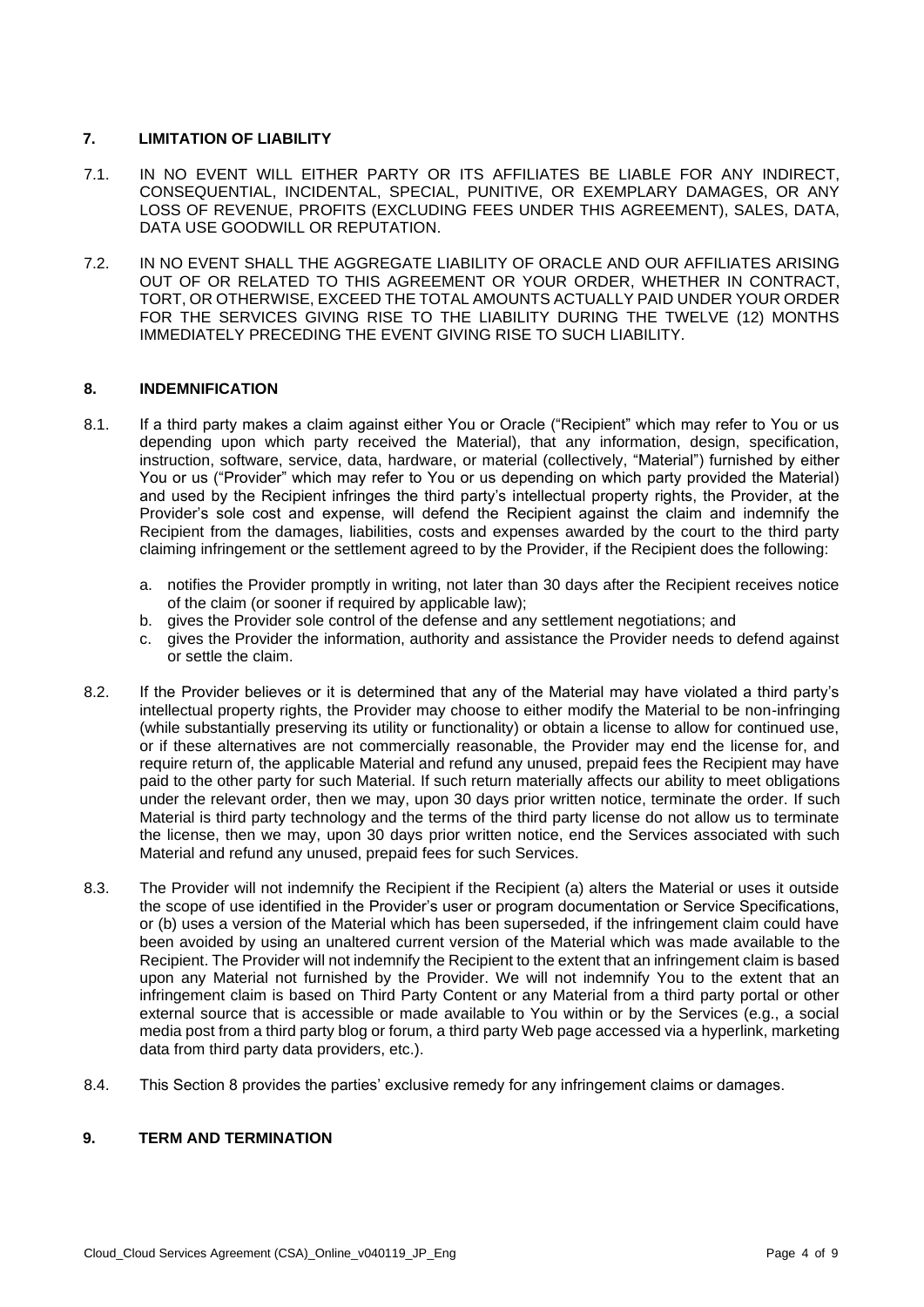## **7. LIMITATION OF LIABILITY**

- 7.1. IN NO EVENT WILL EITHER PARTY OR ITS AFFILIATES BE LIABLE FOR ANY INDIRECT, CONSEQUENTIAL, INCIDENTAL, SPECIAL, PUNITIVE, OR EXEMPLARY DAMAGES, OR ANY LOSS OF REVENUE, PROFITS (EXCLUDING FEES UNDER THIS AGREEMENT), SALES, DATA, DATA USE GOODWILL OR REPUTATION.
- 7.2. IN NO EVENT SHALL THE AGGREGATE LIABILITY OF ORACLE AND OUR AFFILIATES ARISING OUT OF OR RELATED TO THIS AGREEMENT OR YOUR ORDER, WHETHER IN CONTRACT, TORT, OR OTHERWISE, EXCEED THE TOTAL AMOUNTS ACTUALLY PAID UNDER YOUR ORDER FOR THE SERVICES GIVING RISE TO THE LIABILITY DURING THE TWELVE (12) MONTHS IMMEDIATELY PRECEDING THE EVENT GIVING RISE TO SUCH LIABILITY.

#### **8. INDEMNIFICATION**

- 8.1. If a third party makes a claim against either You or Oracle ("Recipient" which may refer to You or us depending upon which party received the Material), that any information, design, specification, instruction, software, service, data, hardware, or material (collectively, "Material") furnished by either You or us ("Provider" which may refer to You or us depending on which party provided the Material) and used by the Recipient infringes the third party's intellectual property rights, the Provider, at the Provider's sole cost and expense, will defend the Recipient against the claim and indemnify the Recipient from the damages, liabilities, costs and expenses awarded by the court to the third party claiming infringement or the settlement agreed to by the Provider, if the Recipient does the following:
	- a. notifies the Provider promptly in writing, not later than 30 days after the Recipient receives notice of the claim (or sooner if required by applicable law);
	- b. gives the Provider sole control of the defense and any settlement negotiations; and
	- c. gives the Provider the information, authority and assistance the Provider needs to defend against or settle the claim.
- 8.2. If the Provider believes or it is determined that any of the Material may have violated a third party's intellectual property rights, the Provider may choose to either modify the Material to be non-infringing (while substantially preserving its utility or functionality) or obtain a license to allow for continued use, or if these alternatives are not commercially reasonable, the Provider may end the license for, and require return of, the applicable Material and refund any unused, prepaid fees the Recipient may have paid to the other party for such Material. If such return materially affects our ability to meet obligations under the relevant order, then we may, upon 30 days prior written notice, terminate the order. If such Material is third party technology and the terms of the third party license do not allow us to terminate the license, then we may, upon 30 days prior written notice, end the Services associated with such Material and refund any unused, prepaid fees for such Services.
- 8.3. The Provider will not indemnify the Recipient if the Recipient (a) alters the Material or uses it outside the scope of use identified in the Provider's user or program documentation or Service Specifications, or (b) uses a version of the Material which has been superseded, if the infringement claim could have been avoided by using an unaltered current version of the Material which was made available to the Recipient. The Provider will not indemnify the Recipient to the extent that an infringement claim is based upon any Material not furnished by the Provider. We will not indemnify You to the extent that an infringement claim is based on Third Party Content or any Material from a third party portal or other external source that is accessible or made available to You within or by the Services (e.g., a social media post from a third party blog or forum, a third party Web page accessed via a hyperlink, marketing data from third party data providers, etc.).
- 8.4. This Section 8 provides the parties' exclusive remedy for any infringement claims or damages.

#### **9. TERM AND TERMINATION**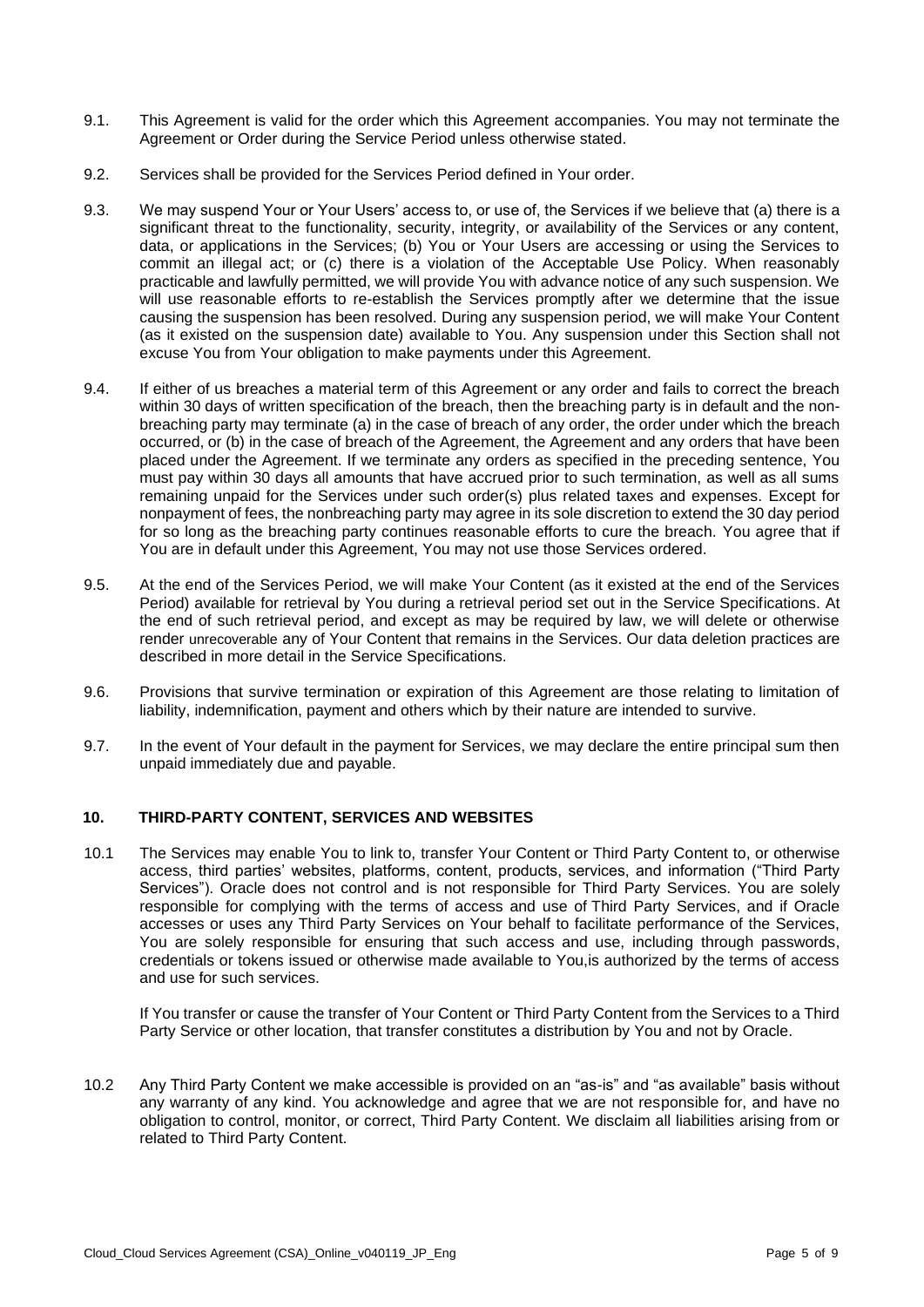- 9.1. This Agreement is valid for the order which this Agreement accompanies. You may not terminate the Agreement or Order during the Service Period unless otherwise stated.
- 9.2. Services shall be provided for the Services Period defined in Your order.
- 9.3. We may suspend Your or Your Users' access to, or use of, the Services if we believe that (a) there is a significant threat to the functionality, security, integrity, or availability of the Services or any content, data, or applications in the Services; (b) You or Your Users are accessing or using the Services to commit an illegal act; or (c) there is a violation of the Acceptable Use Policy. When reasonably practicable and lawfully permitted, we will provide You with advance notice of any such suspension. We will use reasonable efforts to re-establish the Services promptly after we determine that the issue causing the suspension has been resolved. During any suspension period, we will make Your Content (as it existed on the suspension date) available to You. Any suspension under this Section shall not excuse You from Your obligation to make payments under this Agreement.
- 9.4. If either of us breaches a material term of this Agreement or any order and fails to correct the breach within 30 days of written specification of the breach, then the breaching party is in default and the nonbreaching party may terminate (a) in the case of breach of any order, the order under which the breach occurred, or (b) in the case of breach of the Agreement, the Agreement and any orders that have been placed under the Agreement. If we terminate any orders as specified in the preceding sentence, You must pay within 30 days all amounts that have accrued prior to such termination, as well as all sums remaining unpaid for the Services under such order(s) plus related taxes and expenses. Except for nonpayment of fees, the nonbreaching party may agree in its sole discretion to extend the 30 day period for so long as the breaching party continues reasonable efforts to cure the breach. You agree that if You are in default under this Agreement, You may not use those Services ordered.
- 9.5. At the end of the Services Period, we will make Your Content (as it existed at the end of the Services Period) available for retrieval by You during a retrieval period set out in the Service Specifications. At the end of such retrieval period, and except as may be required by law, we will delete or otherwise render unrecoverable any of Your Content that remains in the Services. Our data deletion practices are described in more detail in the Service Specifications.
- 9.6. Provisions that survive termination or expiration of this Agreement are those relating to limitation of liability, indemnification, payment and others which by their nature are intended to survive.
- 9.7. In the event of Your default in the payment for Services, we may declare the entire principal sum then unpaid immediately due and payable.

## **10. THIRD-PARTY CONTENT, SERVICES AND WEBSITES**

10.1 The Services may enable You to link to, transfer Your Content or Third Party Content to, or otherwise access, third parties' websites, platforms, content, products, services, and information ("Third Party Services"). Oracle does not control and is not responsible for Third Party Services. You are solely responsible for complying with the terms of access and use of Third Party Services, and if Oracle accesses or uses any Third Party Services on Your behalf to facilitate performance of the Services, You are solely responsible for ensuring that such access and use, including through passwords, credentials or tokens issued or otherwise made available to You,is authorized by the terms of access and use for such services.

If You transfer or cause the transfer of Your Content or Third Party Content from the Services to a Third Party Service or other location, that transfer constitutes a distribution by You and not by Oracle.

10.2 Any Third Party Content we make accessible is provided on an "as-is" and "as available" basis without any warranty of any kind. You acknowledge and agree that we are not responsible for, and have no obligation to control, monitor, or correct, Third Party Content. We disclaim all liabilities arising from or related to Third Party Content.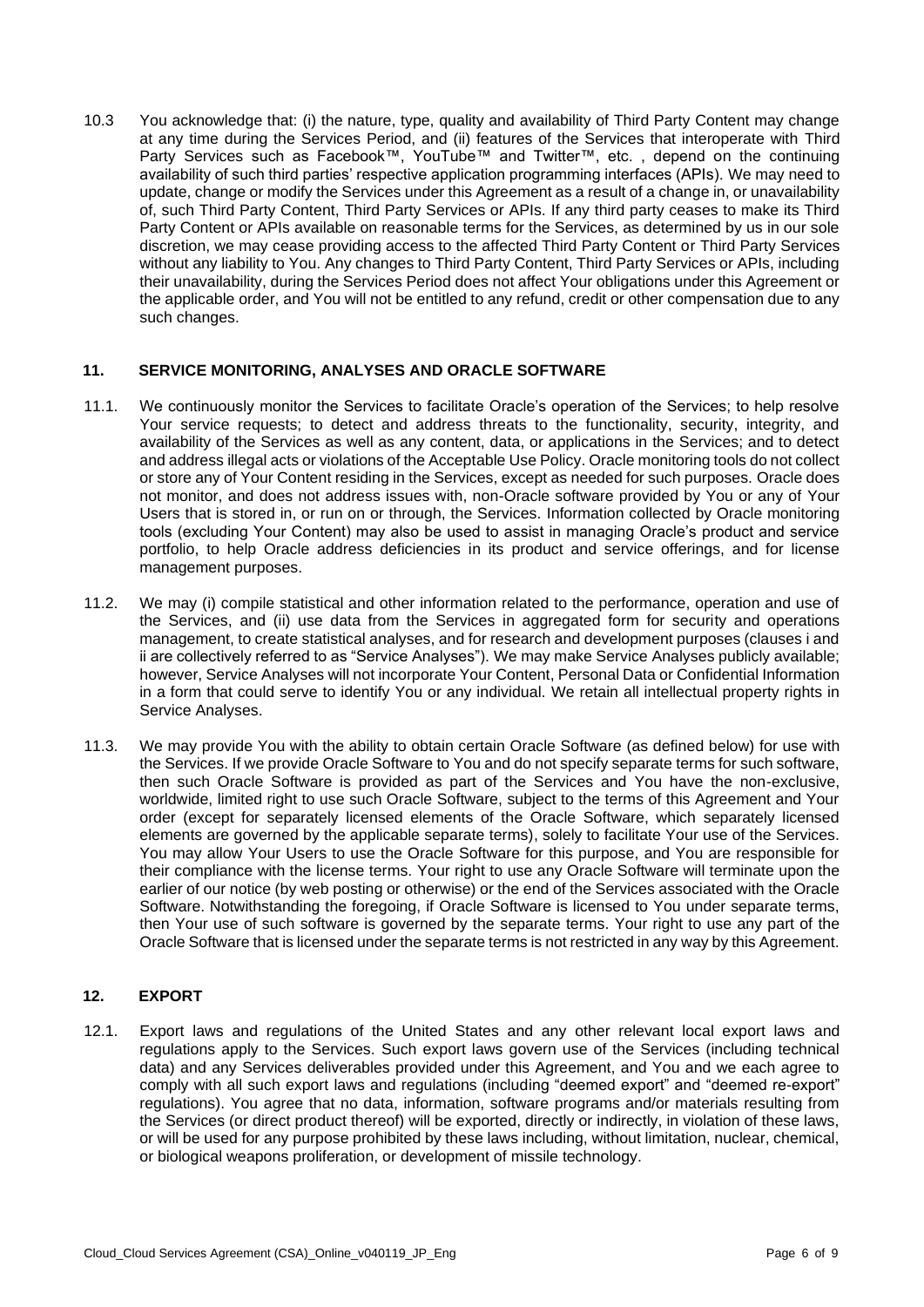10.3 You acknowledge that: (i) the nature, type, quality and availability of Third Party Content may change at any time during the Services Period, and (ii) features of the Services that interoperate with Third Party Services such as Facebook™, YouTube™ and Twitter™, etc. , depend on the continuing availability of such third parties' respective application programming interfaces (APIs). We may need to update, change or modify the Services under this Agreement as a result of a change in, or unavailability of, such Third Party Content, Third Party Services or APIs. If any third party ceases to make its Third Party Content or APIs available on reasonable terms for the Services, as determined by us in our sole discretion, we may cease providing access to the affected Third Party Content or Third Party Services without any liability to You. Any changes to Third Party Content, Third Party Services or APIs, including their unavailability, during the Services Period does not affect Your obligations under this Agreement or the applicable order, and You will not be entitled to any refund, credit or other compensation due to any such changes.

#### **11. SERVICE MONITORING, ANALYSES AND ORACLE SOFTWARE**

- 11.1. We continuously monitor the Services to facilitate Oracle's operation of the Services; to help resolve Your service requests; to detect and address threats to the functionality, security, integrity, and availability of the Services as well as any content, data, or applications in the Services; and to detect and address illegal acts or violations of the Acceptable Use Policy. Oracle monitoring tools do not collect or store any of Your Content residing in the Services, except as needed for such purposes. Oracle does not monitor, and does not address issues with, non-Oracle software provided by You or any of Your Users that is stored in, or run on or through, the Services. Information collected by Oracle monitoring tools (excluding Your Content) may also be used to assist in managing Oracle's product and service portfolio, to help Oracle address deficiencies in its product and service offerings, and for license management purposes.
- 11.2. We may (i) compile statistical and other information related to the performance, operation and use of the Services, and (ii) use data from the Services in aggregated form for security and operations management, to create statistical analyses, and for research and development purposes (clauses i and ii are collectively referred to as "Service Analyses"). We may make Service Analyses publicly available; however, Service Analyses will not incorporate Your Content, Personal Data or Confidential Information in a form that could serve to identify You or any individual. We retain all intellectual property rights in Service Analyses.
- 11.3. We may provide You with the ability to obtain certain Oracle Software (as defined below) for use with the Services. If we provide Oracle Software to You and do not specify separate terms for such software, then such Oracle Software is provided as part of the Services and You have the non-exclusive, worldwide, limited right to use such Oracle Software, subject to the terms of this Agreement and Your order (except for separately licensed elements of the Oracle Software, which separately licensed elements are governed by the applicable separate terms), solely to facilitate Your use of the Services. You may allow Your Users to use the Oracle Software for this purpose, and You are responsible for their compliance with the license terms. Your right to use any Oracle Software will terminate upon the earlier of our notice (by web posting or otherwise) or the end of the Services associated with the Oracle Software. Notwithstanding the foregoing, if Oracle Software is licensed to You under separate terms, then Your use of such software is governed by the separate terms. Your right to use any part of the Oracle Software that is licensed under the separate terms is not restricted in any way by this Agreement.

## **12. EXPORT**

12.1. Export laws and regulations of the United States and any other relevant local export laws and regulations apply to the Services. Such export laws govern use of the Services (including technical data) and any Services deliverables provided under this Agreement, and You and we each agree to comply with all such export laws and regulations (including "deemed export" and "deemed re-export" regulations). You agree that no data, information, software programs and/or materials resulting from the Services (or direct product thereof) will be exported, directly or indirectly, in violation of these laws, or will be used for any purpose prohibited by these laws including, without limitation, nuclear, chemical, or biological weapons proliferation, or development of missile technology.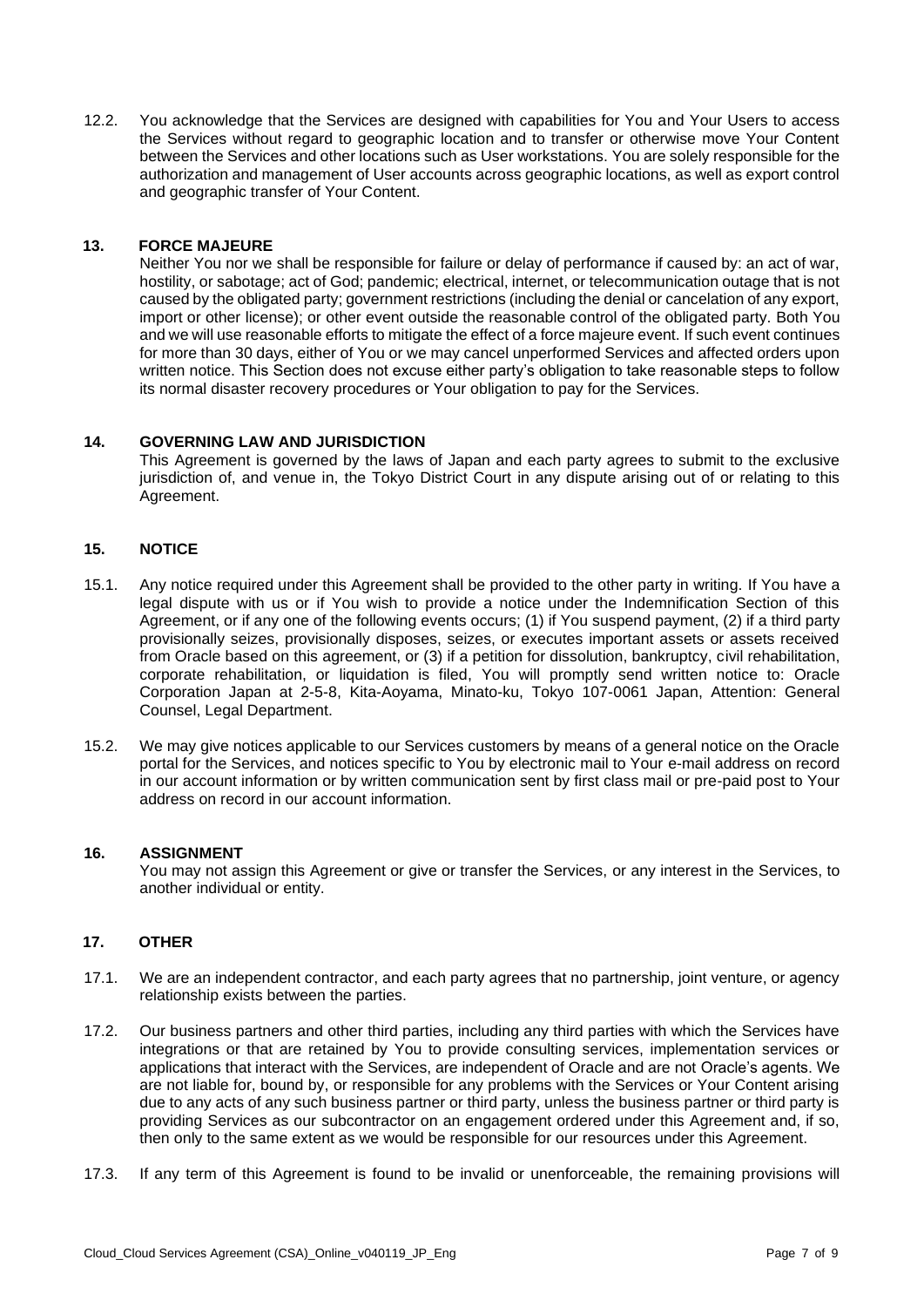12.2. You acknowledge that the Services are designed with capabilities for You and Your Users to access the Services without regard to geographic location and to transfer or otherwise move Your Content between the Services and other locations such as User workstations. You are solely responsible for the authorization and management of User accounts across geographic locations, as well as export control and geographic transfer of Your Content.

## **13. FORCE MAJEURE**

Neither You nor we shall be responsible for failure or delay of performance if caused by: an act of war, hostility, or sabotage; act of God; pandemic; electrical, internet, or telecommunication outage that is not caused by the obligated party; government restrictions (including the denial or cancelation of any export, import or other license); or other event outside the reasonable control of the obligated party. Both You and we will use reasonable efforts to mitigate the effect of a force majeure event. If such event continues for more than 30 days, either of You or we may cancel unperformed Services and affected orders upon written notice. This Section does not excuse either party's obligation to take reasonable steps to follow its normal disaster recovery procedures or Your obligation to pay for the Services.

#### **14. GOVERNING LAW AND JURISDICTION**

This Agreement is governed by the laws of Japan and each party agrees to submit to the exclusive jurisdiction of, and venue in, the Tokyo District Court in any dispute arising out of or relating to this Agreement.

#### **15. NOTICE**

- 15.1. Any notice required under this Agreement shall be provided to the other party in writing. If You have a legal dispute with us or if You wish to provide a notice under the Indemnification Section of this Agreement, or if any one of the following events occurs; (1) if You suspend payment, (2) if a third party provisionally seizes, provisionally disposes, seizes, or executes important assets or assets received from Oracle based on this agreement, or (3) if a petition for dissolution, bankruptcy, civil rehabilitation, corporate rehabilitation, or liquidation is filed, You will promptly send written notice to: Oracle Corporation Japan at 2-5-8, Kita-Aoyama, Minato-ku, Tokyo 107-0061 Japan, Attention: General Counsel, Legal Department.
- 15.2. We may give notices applicable to our Services customers by means of a general notice on the Oracle portal for the Services, and notices specific to You by electronic mail to Your e-mail address on record in our account information or by written communication sent by first class mail or pre-paid post to Your address on record in our account information.

#### **16. ASSIGNMENT**

You may not assign this Agreement or give or transfer the Services, or any interest in the Services, to another individual or entity.

#### **17. OTHER**

- 17.1. We are an independent contractor, and each party agrees that no partnership, joint venture, or agency relationship exists between the parties.
- 17.2. Our business partners and other third parties, including any third parties with which the Services have integrations or that are retained by You to provide consulting services, implementation services or applications that interact with the Services, are independent of Oracle and are not Oracle's agents. We are not liable for, bound by, or responsible for any problems with the Services or Your Content arising due to any acts of any such business partner or third party, unless the business partner or third party is providing Services as our subcontractor on an engagement ordered under this Agreement and, if so, then only to the same extent as we would be responsible for our resources under this Agreement.
- 17.3. If any term of this Agreement is found to be invalid or unenforceable, the remaining provisions will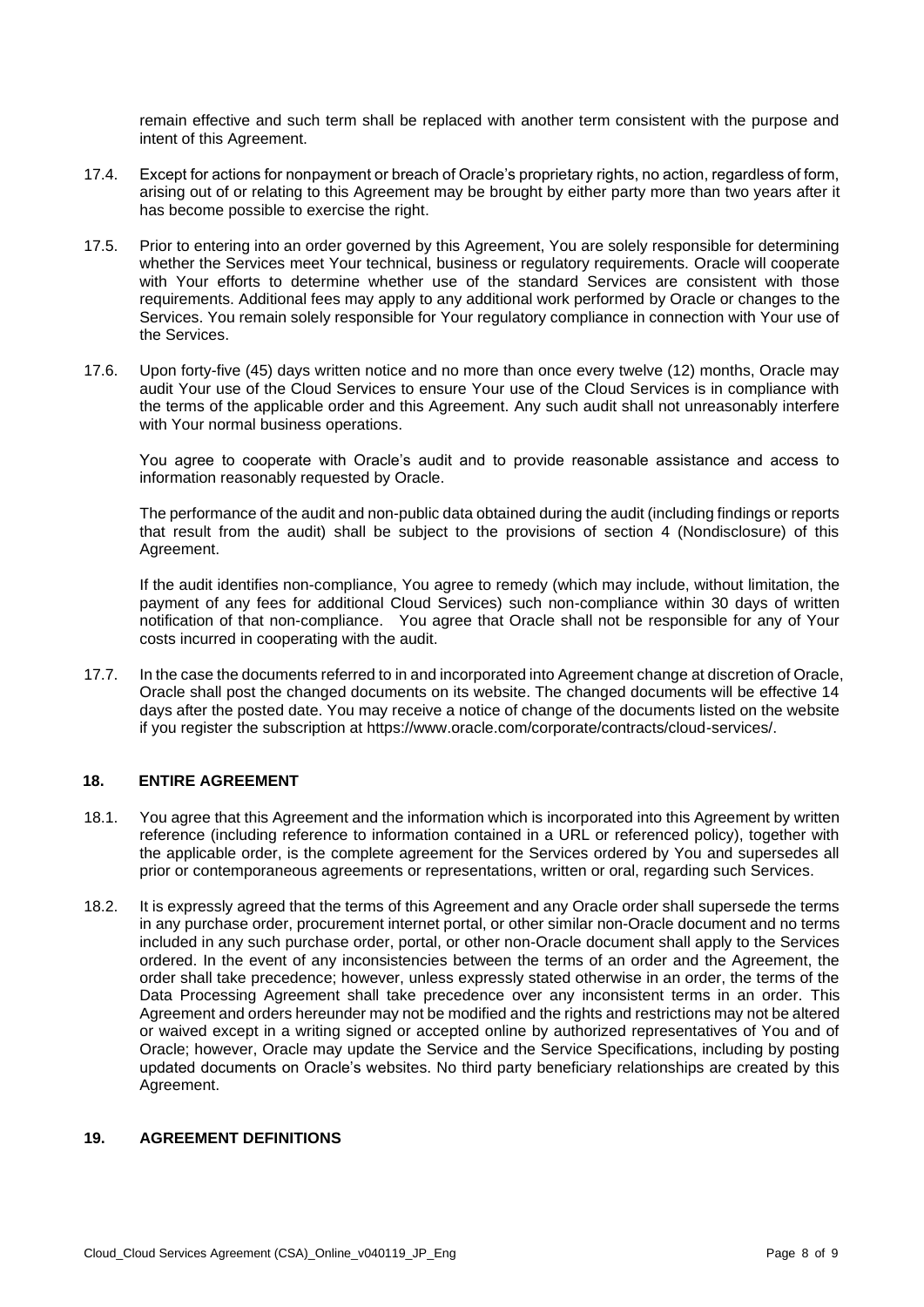remain effective and such term shall be replaced with another term consistent with the purpose and intent of this Agreement.

- 17.4. Except for actions for nonpayment or breach of Oracle's proprietary rights, no action, regardless of form, arising out of or relating to this Agreement may be brought by either party more than two years after it has become possible to exercise the right.
- 17.5. Prior to entering into an order governed by this Agreement, You are solely responsible for determining whether the Services meet Your technical, business or regulatory requirements. Oracle will cooperate with Your efforts to determine whether use of the standard Services are consistent with those requirements. Additional fees may apply to any additional work performed by Oracle or changes to the Services. You remain solely responsible for Your regulatory compliance in connection with Your use of the Services.
- 17.6. Upon forty-five (45) days written notice and no more than once every twelve (12) months, Oracle may audit Your use of the Cloud Services to ensure Your use of the Cloud Services is in compliance with the terms of the applicable order and this Agreement. Any such audit shall not unreasonably interfere with Your normal business operations.

You agree to cooperate with Oracle's audit and to provide reasonable assistance and access to information reasonably requested by Oracle.

The performance of the audit and non-public data obtained during the audit (including findings or reports that result from the audit) shall be subject to the provisions of section 4 (Nondisclosure) of this Agreement.

If the audit identifies non-compliance, You agree to remedy (which may include, without limitation, the payment of any fees for additional Cloud Services) such non-compliance within 30 days of written notification of that non-compliance. You agree that Oracle shall not be responsible for any of Your costs incurred in cooperating with the audit.

17.7. In the case the documents referred to in and incorporated into Agreement change at discretion of Oracle, Oracle shall post the changed documents on its website. The changed documents will be effective 14 days after the posted date. You may receive a notice of change of the documents listed on the website if you register the subscription at https://www.oracle.com/corporate/contracts/cloud-services/.

## **18. ENTIRE AGREEMENT**

- 18.1. You agree that this Agreement and the information which is incorporated into this Agreement by written reference (including reference to information contained in a URL or referenced policy), together with the applicable order, is the complete agreement for the Services ordered by You and supersedes all prior or contemporaneous agreements or representations, written or oral, regarding such Services.
- 18.2. It is expressly agreed that the terms of this Agreement and any Oracle order shall supersede the terms in any purchase order, procurement internet portal, or other similar non-Oracle document and no terms included in any such purchase order, portal, or other non-Oracle document shall apply to the Services ordered. In the event of any inconsistencies between the terms of an order and the Agreement, the order shall take precedence; however, unless expressly stated otherwise in an order, the terms of the Data Processing Agreement shall take precedence over any inconsistent terms in an order. This Agreement and orders hereunder may not be modified and the rights and restrictions may not be altered or waived except in a writing signed or accepted online by authorized representatives of You and of Oracle; however, Oracle may update the Service and the Service Specifications, including by posting updated documents on Oracle's websites. No third party beneficiary relationships are created by this Agreement.

## **19. AGREEMENT DEFINITIONS**